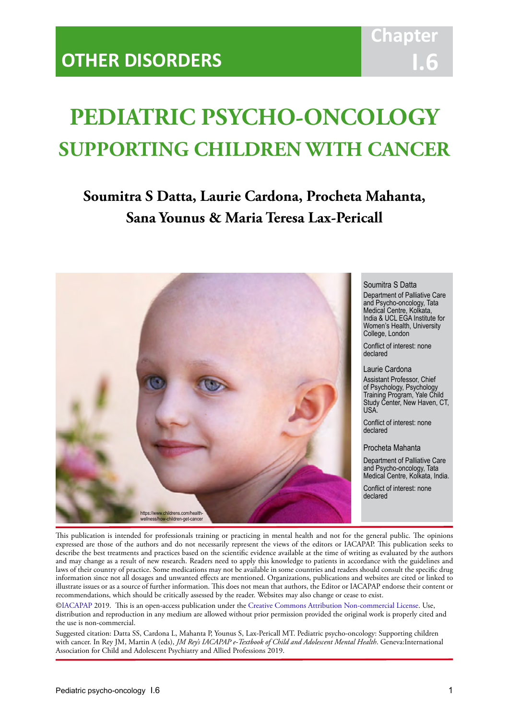# **PEDIATRIC PSYCHO-ONCOLOGY SUPPORTING CHILDREN WITH CANCER**

IACAPAP Textbook of Child and Adolescent Mental Health

# **Soumitra S Datta, Laurie Cardona, Procheta Mahanta, Sana Younus & Maria Teresa Lax-Pericall**



#### Soumitra S Datta

Department of Palliative Care and Psycho-oncology, Tata Medical Centre, Kolkata, India & UCL EGA Institute for Women's Health, University College, London

Conflict of interest: none declared

Laurie Cardona

Assistant Professor, Chief of Psychology, Psychology Training Program, Yale Child Study Center, New Haven, CT, USA.

Conflict of interest: none declared

Procheta Mahanta

Department of Palliative Care and Psycho-oncology, Tata Medical Centre, Kolkata, India.

Conflict of interest: none declared

This publication is intended for professionals training or practicing in mental health and not for the general public. The opinions expressed are those of the authors and do not necessarily represent the views of the editors or IACAPAP. This publication seeks to describe the best treatments and practices based on the scientific evidence available at the time of writing as evaluated by the authors and may change as a result of new research. Readers need to apply this knowledge to patients in accordance with the guidelines and laws of their country of practice. Some medications may not be available in some countries and readers should consult the specific drug information since not all dosages and unwanted effects are mentioned. Organizations, publications and websites are cited or linked to illustrate issues or as a source of further information. This does not mean that authors, the Editor or IACAPAP endorse their content or recommendations, which should be critically assessed by the reader. Websites may also change or cease to exist.

[©IACAPAP](http://iacapap.org/) 2019. This is an open-access publication under the [Creative Commons Attribution Non-commercial License](http://creativecommons.org/licenses/by-nc/2.0/). Use, distribution and reproduction in any medium are allowed without prior permission provided the original work is properly cited and the use is non-commercial.

Suggested citation: Datta SS, Cardona L, Mahanta P, Younus S, Lax-Pericall MT. Pediatric psycho-oncology: Supporting children with cancer. In Rey JM, Martin A (eds), *JM Rey's IACAPAP e-Textbook of Child and Adolescent Mental Health*. Geneva:International Association for Child and Adolescent Psychiatry and Allied Professions 2019.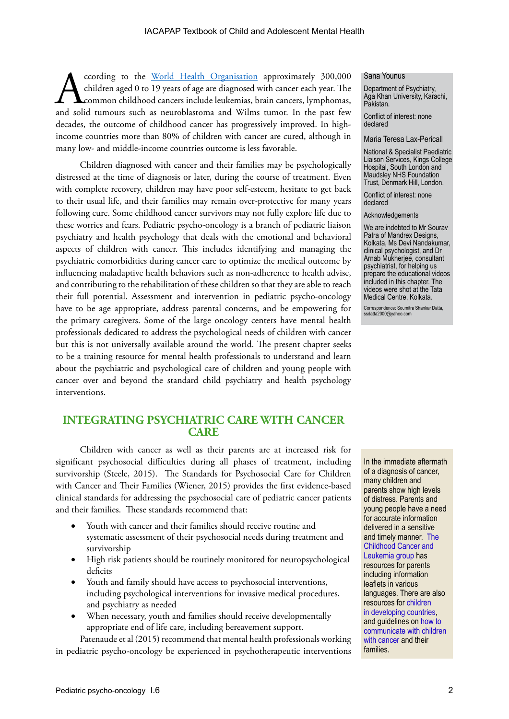cording to the <u>World Health Organisation</u> approximately 300,000 children aged 0 to 19 years of age are diagnosed with cancer each year. The common childhood cancers include leukemias, brain cancers, lymphomas, and solid t children aged 0 to 19 years of age are diagnosed with cancer each year. The common childhood cancers include leukemias, brain cancers, lymphomas, and solid tumours such as neuroblastoma and Wilms tumor. In the past few decades, the outcome of childhood cancer has progressively improved. In highincome countries more than 80% of children with cancer are cured, although in many low- and middle-income countries outcome is less favorable.

Children diagnosed with cancer and their families may be psychologically distressed at the time of diagnosis or later, during the course of treatment. Even with complete recovery, children may have poor self-esteem, hesitate to get back to their usual life, and their families may remain over-protective for many years following cure. Some childhood cancer survivors may not fully explore life due to these worries and fears. Pediatric psycho-oncology is a branch of pediatric liaison psychiatry and health psychology that deals with the emotional and behavioral aspects of children with cancer. This includes identifying and managing the psychiatric comorbidities during cancer care to optimize the medical outcome by influencing maladaptive health behaviors such as non-adherence to health advise, and contributing to the rehabilitation of these children so that they are able to reach their full potential. Assessment and intervention in pediatric psycho-oncology have to be age appropriate, address parental concerns, and be empowering for the primary caregivers. Some of the large oncology centers have mental health professionals dedicated to address the psychological needs of children with cancer but this is not universally available around the world. The present chapter seeks to be a training resource for mental health professionals to understand and learn about the psychiatric and psychological care of children and young people with cancer over and beyond the standard child psychiatry and health psychology interventions.

# **INTEGRATING PSYCHIATRIC CARE WITH CANCER CARE**

Children with cancer as well as their parents are at increased risk for significant psychosocial difficulties during all phases of treatment, including survivorship (Steele, 2015). The Standards for Psychosocial Care for Children with Cancer and Their Families (Wiener, 2015) provides the first evidence-based clinical standards for addressing the psychosocial care of pediatric cancer patients and their families. These standards recommend that:

- Youth with cancer and their families should receive routine and systematic assessment of their psychosocial needs during treatment and survivorship
- High risk patients should be routinely monitored for neuropsychological deficits
- Youth and family should have access to psychosocial interventions, including psychological interventions for invasive medical procedures, and psychiatry as needed
- When necessary, youth and families should receive developmentally appropriate end of life care, including bereavement support.

Patenaude et al (2015) recommend that mental health professionals working in pediatric psycho‐oncology be experienced in psychotherapeutic interventions

#### Sana Younus

Department of Psychiatry, Aga Khan University, Karachi, Pakistan.

Conflict of interest: none declared

#### Maria Teresa Lax-Pericall

National & Specialist Paediatric Liaison Services, Kings College Hospital, South London and Maudsley NHS Foundation Trust, Denmark Hill, London.

Conflict of interest: none declared

**Acknowledgements** 

We are indebted to Mr Sourav Patra of Mandrex Designs, Kolkata, Ms Devi Nandakumar, clinical psychologist, and Dr Arnab Mukherjee, consultant psychiatrist, for helping us prepare the educational videos included in this chapter. The videos were shot at the Tata Medical Centre, Kolkata.

Correspondence: Soumitra Shankar Datta, ssdatta2000@yahoo.com

In the immediate aftermath of a diagnosis of cancer, many children and parents show high levels of distress. Parents and young people have a need for accurate information delivered in a sensitive and timely manner. [The](https://www.cclg.org.uk/)  [Childhood Cancer and](https://www.cclg.org.uk/)  [Leukemia group](https://www.cclg.org.uk/) has resources for parents including information leaflets in various languages. There are also resources for [children](https://www.cclg.org.uk/podc/caring-for-a-child-with-cancer-in-developing-countries)  [in developing countries,](https://www.cclg.org.uk/podc/caring-for-a-child-with-cancer-in-developing-countries) and guidelines on [how to](https://www.cancer.net/coping-with-cancer/talking-with-family-and-friends/how-child-understands-cancer)  [communicate with children](https://www.cancer.net/coping-with-cancer/talking-with-family-and-friends/how-child-understands-cancer)  [with cancer](https://www.cancer.net/coping-with-cancer/talking-with-family-and-friends/how-child-understands-cancer) and their families.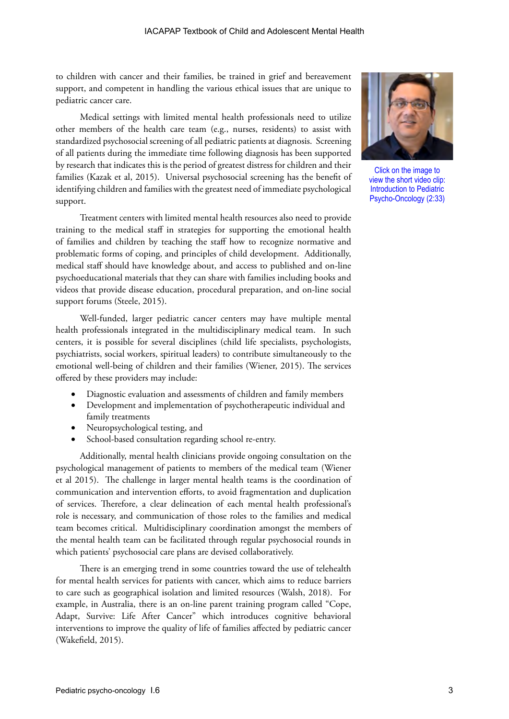to children with cancer and their families, be trained in grief and bereavement support, and competent in handling the various ethical issues that are unique to pediatric cancer care.

Medical settings with limited mental health professionals need to utilize other members of the health care team (e.g., nurses, residents) to assist with standardized psychosocial screening of all pediatric patients at diagnosis. Screening of all patients during the immediate time following diagnosis has been supported by research that indicates this is the period of greatest distress for children and their families (Kazak et al, 2015). Universal psychosocial screening has the benefit of identifying children and families with the greatest need of immediate psychological support.

Treatment centers with limited mental health resources also need to provide training to the medical staff in strategies for supporting the emotional health of families and children by teaching the staff how to recognize normative and problematic forms of coping, and principles of child development. Additionally, medical staff should have knowledge about, and access to published and on-line psychoeducational materials that they can share with families including books and videos that provide disease education, procedural preparation, and on-line social support forums (Steele, 2015).

Well-funded, larger pediatric cancer centers may have multiple mental health professionals integrated in the multidisciplinary medical team. In such centers, it is possible for several disciplines (child life specialists, psychologists, psychiatrists, social workers, spiritual leaders) to contribute simultaneously to the emotional well-being of children and their families (Wiener, 2015). The services offered by these providers may include:

- Diagnostic evaluation and assessments of children and family members
- • Development and implementation of psychotherapeutic individual and family treatments
- Neuropsychological testing, and
- School-based consultation regarding school re-entry.

Additionally, mental health clinicians provide ongoing consultation on the psychological management of patients to members of the medical team (Wiener et al 2015). The challenge in larger mental health teams is the coordination of communication and intervention efforts, to avoid fragmentation and duplication of services. Therefore, a clear delineation of each mental health professional's role is necessary, and communication of those roles to the families and medical team becomes critical. Multidisciplinary coordination amongst the members of the mental health team can be facilitated through regular psychosocial rounds in which patients' psychosocial care plans are devised collaboratively.

There is an emerging trend in some countries toward the use of telehealth for mental health services for patients with cancer, which aims to reduce barriers to care such as geographical isolation and limited resources (Walsh, 2018). For example, in Australia, there is an on-line parent training program called "Cope, Adapt, Survive: Life After Cancer" which introduces cognitive behavioral interventions to improve the quality of life of families affected by pediatric cancer (Wakefield, 2015).



Click on the image to view the short video clip: Introduction to Pediatric Psycho-Oncology (2:33)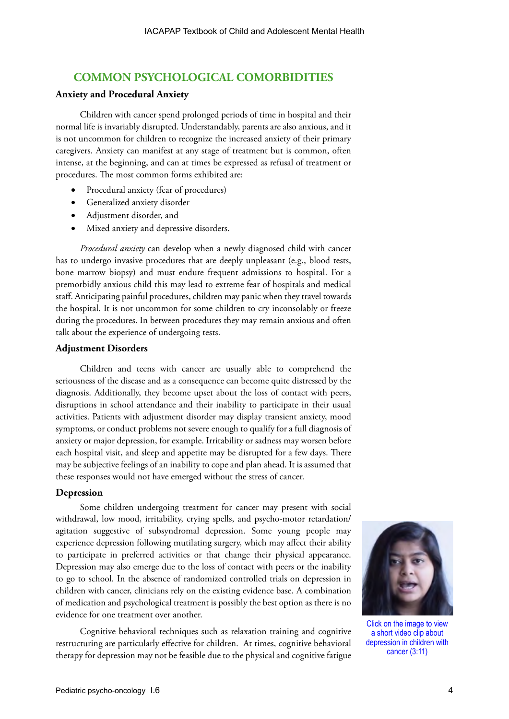# **COMMON PSYCHOLOGICAL COMORBIDITIES**

#### **Anxiety and Procedural Anxiety**

Children with cancer spend prolonged periods of time in hospital and their normal life is invariably disrupted. Understandably, parents are also anxious, and it is not uncommon for children to recognize the increased anxiety of their primary caregivers. Anxiety can manifest at any stage of treatment but is common, often intense, at the beginning, and can at times be expressed as refusal of treatment or procedures. The most common forms exhibited are:

- Procedural anxiety (fear of procedures)
- Generalized anxiety disorder
- Adjustment disorder, and
- Mixed anxiety and depressive disorders.

*Procedural anxiety* can develop when a newly diagnosed child with cancer has to undergo invasive procedures that are deeply unpleasant (e.g., blood tests, bone marrow biopsy) and must endure frequent admissions to hospital. For a premorbidly anxious child this may lead to extreme fear of hospitals and medical staff. Anticipating painful procedures, children may panic when they travel towards the hospital. It is not uncommon for some children to cry inconsolably or freeze during the procedures. In between procedures they may remain anxious and often talk about the experience of undergoing tests.

#### **Adjustment Disorders**

Children and teens with cancer are usually able to comprehend the seriousness of the disease and as a consequence can become quite distressed by the diagnosis. Additionally, they become upset about the loss of contact with peers, disruptions in school attendance and their inability to participate in their usual activities. Patients with adjustment disorder may display transient anxiety, mood symptoms, or conduct problems not severe enough to qualify for a full diagnosis of anxiety or major depression, for example. Irritability or sadness may worsen before each hospital visit, and sleep and appetite may be disrupted for a few days. There may be subjective feelings of an inability to cope and plan ahead. It is assumed that these responses would not have emerged without the stress of cancer.

#### **Depression**

Some children undergoing treatment for cancer may present with social withdrawal, low mood, irritability, crying spells, and psycho-motor retardation/ agitation suggestive of subsyndromal depression. Some young people may experience depression following mutilating surgery, which may affect their ability to participate in preferred activities or that change their physical appearance. Depression may also emerge due to the loss of contact with peers or the inability to go to school. In the absence of randomized controlled trials on depression in children with cancer, clinicians rely on the existing evidence base. A combination of medication and psychological treatment is possibly the best option as there is no evidence for one treatment over another.

Cognitive behavioral techniques such as relaxation training and cognitive restructuring are particularly effective for children. At times, cognitive behavioral therapy for depression may not be feasible due to the physical and cognitive fatigue



Click on the image to view a short video clip about depression in children with cancer (3:11)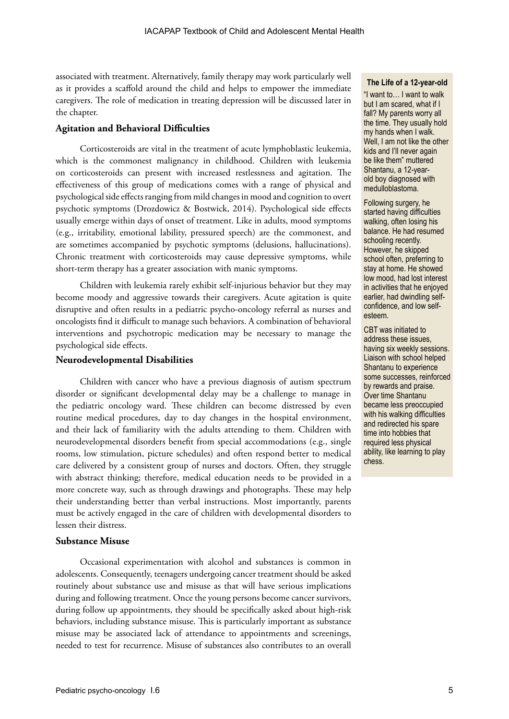associated with treatment. Alternatively, family therapy may work particularly well as it provides a scaffold around the child and helps to empower the immediate caregivers. The role of medication in treating depression will be discussed later in the chapter.

#### **Agitation and Behavioral Difficulties**

Corticosteroids are vital in the treatment of acute lymphoblastic leukemia, which is the commonest malignancy in childhood. Children with leukemia on corticosteroids can present with increased restlessness and agitation. The effectiveness of this group of medications comes with a range of physical and psychological side effects ranging from mild changes in mood and cognition to overt psychotic symptoms (Drozdowicz & Bostwick, 2014). Psychological side effects usually emerge within days of onset of treatment. Like in adults, mood symptoms (e.g., irritability, emotional lability, pressured speech) are the commonest, and are sometimes accompanied by psychotic symptoms (delusions, hallucinations). Chronic treatment with corticosteroids may cause depressive symptoms, while short-term therapy has a greater association with manic symptoms.

Children with leukemia rarely exhibit self-injurious behavior but they may become moody and aggressive towards their caregivers. Acute agitation is quite disruptive and often results in a pediatric psycho-oncology referral as nurses and oncologists find it difficult to manage such behaviors. A combination of behavioral interventions and psychotropic medication may be necessary to manage the psychological side effects.

# **Neurodevelopmental Disabilities**

Children with cancer who have a previous diagnosis of autism spectrum disorder or significant developmental delay may be a challenge to manage in the pediatric oncology ward. These children can become distressed by even routine medical procedures, day to day changes in the hospital environment, and their lack of familiarity with the adults attending to them. Children with neurodevelopmental disorders benefit from special accommodations (e.g., single rooms, low stimulation, picture schedules) and often respond better to medical care delivered by a consistent group of nurses and doctors. Often, they struggle with abstract thinking; therefore, medical education needs to be provided in a more concrete way, such as through drawings and photographs. These may help their understanding better than verbal instructions. Most importantly, parents must be actively engaged in the care of children with developmental disorders to lessen their distress.

#### **Substance Misuse**

Occasional experimentation with alcohol and substances is common in adolescents. Consequently, teenagers undergoing cancer treatment should be asked routinely about substance use and misuse as that will have serious implications during and following treatment. Once the young persons become cancer survivors, during follow up appointments, they should be specifically asked about high-risk behaviors, including substance misuse. This is particularly important as substance misuse may be associated lack of attendance to appointments and screenings, needed to test for recurrence. Misuse of substances also contributes to an overall

#### **The Life of a 12-year-old** "I want to… I want to walk but I am scared, what if I fall? My parents worry all the time. They usually hold my hands when I walk. Well, I am not like the other kids and I'll never again be like them" muttered

Shantanu, a 12-yearold boy diagnosed with medulloblastoma.

Following surgery, he started having difficulties walking, often losing his balance. He had resumed schooling recently. However, he skipped school often, preferring to stay at home. He showed low mood, had lost interest in activities that he enjoyed earlier, had dwindling selfconfidence, and low selfesteem.

CBT was initiated to address these issues, having six weekly sessions. Liaison with school helped Shantanu to experience some successes, reinforced by rewards and praise. Over time Shantanu became less preoccupied with his walking difficulties and redirected his spare time into hobbies that required less physical ability, like learning to play chess.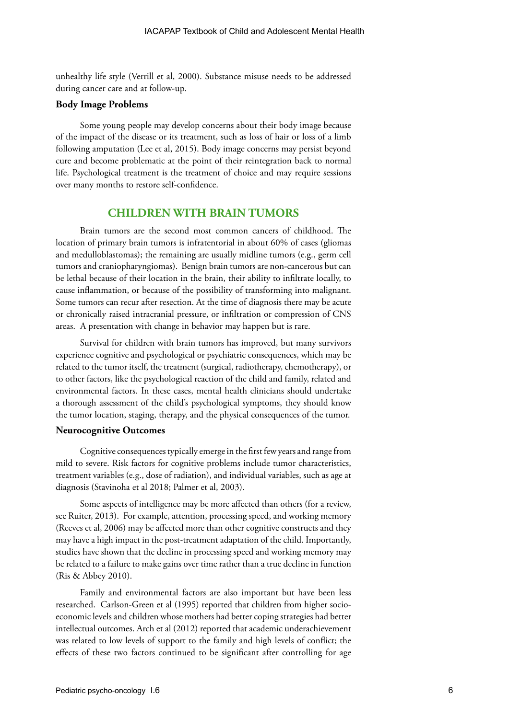unhealthy life style (Verrill et al, 2000). Substance misuse needs to be addressed during cancer care and at follow-up.

#### **Body Image Problems**

Some young people may develop concerns about their body image because of the impact of the disease or its treatment, such as loss of hair or loss of a limb following amputation (Lee et al, 2015). Body image concerns may persist beyond cure and become problematic at the point of their reintegration back to normal life. Psychological treatment is the treatment of choice and may require sessions over many months to restore self-confidence.

# **CHILDREN WITH BRAIN TUMORS**

Brain tumors are the second most common cancers of childhood. The location of primary brain tumors is infratentorial in about 60% of cases (gliomas and medulloblastomas); the remaining are usually midline tumors (e.g., germ cell tumors and craniopharyngiomas). Benign brain tumors are non-cancerous but can be lethal because of their location in the brain, their ability to infiltrate locally, to cause inflammation, or because of the possibility of transforming into malignant. Some tumors can recur after resection. At the time of diagnosis there may be acute or chronically raised intracranial pressure, or infiltration or compression of CNS areas. A presentation with change in behavior may happen but is rare.

Survival for children with brain tumors has improved, but many survivors experience cognitive and psychological or psychiatric consequences, which may be related to the tumor itself, the treatment (surgical, radiotherapy, chemotherapy), or to other factors, like the psychological reaction of the child and family, related and environmental factors. In these cases, mental health clinicians should undertake a thorough assessment of the child's psychological symptoms, they should know the tumor location, staging, therapy, and the physical consequences of the tumor.

#### **Neurocognitive Outcomes**

Cognitive consequences typically emerge in the first few years and range from mild to severe. Risk factors for cognitive problems include tumor characteristics, treatment variables (e.g., dose of radiation), and individual variables, such as age at diagnosis (Stavinoha et al 2018; Palmer et al, 2003).

Some aspects of intelligence may be more affected than others (for a review, see Ruiter, 2013). For example, attention, processing speed, and working memory (Reeves et al, 2006) may be affected more than other cognitive constructs and they may have a high impact in the post-treatment adaptation of the child. Importantly, studies have shown that the decline in processing speed and working memory may be related to a failure to make gains over time rather than a true decline in function (Ris & Abbey 2010).

Family and environmental factors are also important but have been less researched. Carlson-Green et al (1995) reported that children from higher socioeconomic levels and children whose mothers had better coping strategies had better intellectual outcomes. Arch et al (2012) reported that academic underachievement was related to low levels of support to the family and high levels of conflict; the effects of these two factors continued to be significant after controlling for age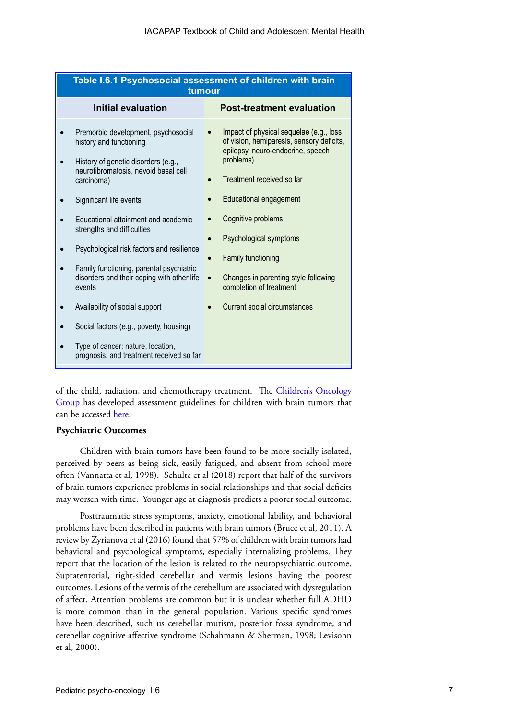| Table I.6.1 Psychosocial assessment of children with brain<br>tumour                                                                                                                                                                                                                                                                                                                                                                                                                                                                                                       |                                                                                                                                                                                                                                                                                                                                                                                                                                   |  |
|----------------------------------------------------------------------------------------------------------------------------------------------------------------------------------------------------------------------------------------------------------------------------------------------------------------------------------------------------------------------------------------------------------------------------------------------------------------------------------------------------------------------------------------------------------------------------|-----------------------------------------------------------------------------------------------------------------------------------------------------------------------------------------------------------------------------------------------------------------------------------------------------------------------------------------------------------------------------------------------------------------------------------|--|
| Initial evaluation                                                                                                                                                                                                                                                                                                                                                                                                                                                                                                                                                         | <b>Post-treatment evaluation</b>                                                                                                                                                                                                                                                                                                                                                                                                  |  |
| Premorbid development, psychosocial<br>history and functioning<br>History of genetic disorders (e.g.,<br>neurofibromatosis, nevoid basal cell<br>carcinoma)<br>Significant life events<br>Educational attainment and academic<br>strengths and difficulties<br>Psychological risk factors and resilience<br>Family functioning, parental psychiatric<br>disorders and their coping with other life<br>events<br>Availability of social support<br>Social factors (e.g., poverty, housing)<br>Type of cancer: nature, location,<br>prognosis, and treatment received so far | Impact of physical sequelae (e.g., loss<br>of vision, hemiparesis, sensory deficits,<br>epilepsy, neuro-endocrine, speech<br>problems)<br>Treatment received so far<br>Educational engagement<br>$\bullet$<br>Cognitive problems<br>Psychological symptoms<br>$\bullet$<br>Family functioning<br>$\bullet$<br>Changes in parenting style following<br>$\bullet$<br>completion of treatment<br><b>Current social circumstances</b> |  |

of the child, radiation, and chemotherapy treatment. The [Children's Oncology](http://www.survivorshipguidelines.org/pdf/LTFUGuidelines_40.pdf) [Group](http://www.survivorshipguidelines.org/pdf/LTFUGuidelines_40.pdf) has developed assessment guidelines for children with brain tumors that can be accessed [here.](http://www.survivorshipguidelines.org/pdf/LTFUGuidelines_40.pdf)

# **Psychiatric Outcomes**

Children with brain tumors have been found to be more socially isolated, perceived by peers as being sick, easily fatigued, and absent from school more often (Vannatta et al, 1998). Schulte et al (2018) report that half of the survivors of brain tumors experience problems in social relationships and that social deficits may worsen with time. Younger age at diagnosis predicts a poorer social outcome.

Posttraumatic stress symptoms, anxiety, emotional lability, and behavioral problems have been described in patients with brain tumors (Bruce et al, 2011). A review by Zyrianova et al (2016) found that 57% of children with brain tumors had behavioral and psychological symptoms, especially internalizing problems. They report that the location of the lesion is related to the neuropsychiatric outcome. Supratentorial, right-sided cerebellar and vermis lesions having the poorest outcomes. Lesions of the vermis of the cerebellum are associated with dysregulation of affect. Attention problems are common but it is unclear whether full ADHD is more common than in the general population. Various specific syndromes have been described, such us cerebellar mutism, posterior fossa syndrome, and cerebellar cognitive affective syndrome (Schahmann & Sherman, 1998; Levisohn et al, 2000).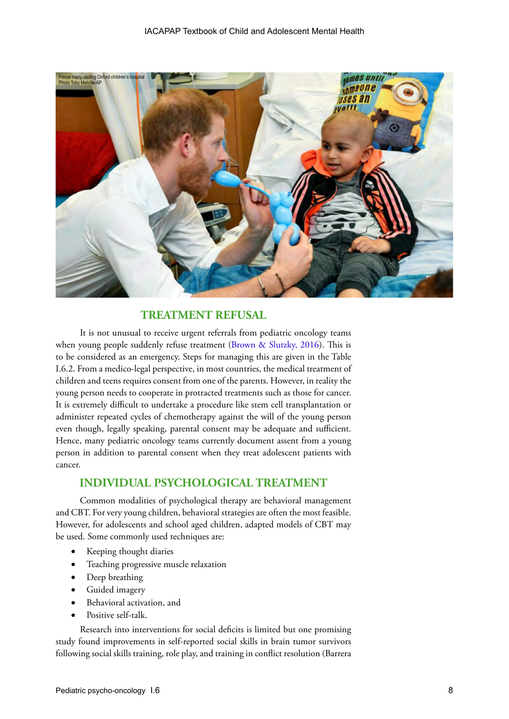

# **TREATMENT REFUSAL**

It is not unusual to receive urgent referrals from pediatric oncology teams when young people suddenly refuse treatment ([Brown & Slutzky, 2016](https://pediatrics.aappublications.org/content/140/6/e20171951)). This is to be considered as an emergency. Steps for managing this are given in the Table I.6.2. From a medico-legal perspective, in most countries, the medical treatment of children and teens requires consent from one of the parents. However, in reality the young person needs to cooperate in protracted treatments such as those for cancer. It is extremely difficult to undertake a procedure like stem cell transplantation or administer repeated cycles of chemotherapy against the will of the young person even though, legally speaking, parental consent may be adequate and sufficient. Hence, many pediatric oncology teams currently document assent from a young person in addition to parental consent when they treat adolescent patients with cancer.

# **INDIVIDUAL PSYCHOLOGICAL TREATMENT**

Common modalities of psychological therapy are behavioral management and CBT. For very young children, behavioral strategies are often the most feasible. However, for adolescents and school aged children, adapted models of CBT may be used. Some commonly used techniques are:

- Keeping thought diaries
- Teaching progressive muscle relaxation
- Deep breathing
- Guided imagery
- Behavioral activation, and
- Positive self-talk.

Research into interventions for social deficits is limited but one promising study found improvements in self-reported social skills in brain tumor survivors following social skills training, role play, and training in conflict resolution (Barrera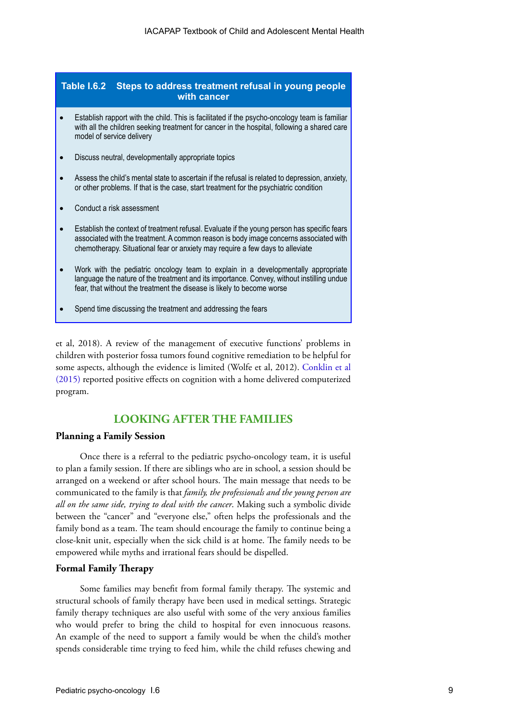| Table I.6.2<br>Steps to address treatment refusal in young people<br>with cancer |                                                                                                                                                                                                                                                                       |  |
|----------------------------------------------------------------------------------|-----------------------------------------------------------------------------------------------------------------------------------------------------------------------------------------------------------------------------------------------------------------------|--|
|                                                                                  | Establish rapport with the child. This is facilitated if the psycho-oncology team is familiar<br>with all the children seeking treatment for cancer in the hospital, following a shared care<br>model of service delivery                                             |  |
|                                                                                  | Discuss neutral, developmentally appropriate topics                                                                                                                                                                                                                   |  |
|                                                                                  | Assess the child's mental state to ascertain if the refusal is related to depression, anxiety,<br>or other problems. If that is the case, start treatment for the psychiatric condition                                                                               |  |
|                                                                                  | Conduct a risk assessment                                                                                                                                                                                                                                             |  |
|                                                                                  | Establish the context of treatment refusal. Evaluate if the young person has specific fears<br>associated with the treatment. A common reason is body image concerns associated with<br>chemotherapy. Situational fear or anxiety may require a few days to alleviate |  |
|                                                                                  | Work with the pediatric oncology team to explain in a developmentally appropriate<br>language the nature of the treatment and its importance. Convey, without instilling undue<br>fear, that without the treatment the disease is likely to become worse              |  |

Spend time discussing the treatment and addressing the fears

et al, 2018). A review of the management of executive functions' problems in children with posterior fossa tumors found cognitive remediation to be helpful for some aspects, although the evidence is limited (Wolfe et al, 2012). [Conklin et al](https://www.ncbi.nlm.nih.gov/pmc/articles/PMC2988638/) [\(2015\)](https://www.ncbi.nlm.nih.gov/pmc/articles/PMC2988638/) reported positive effects on cognition with a home delivered computerized program.

# **LOOKING AFTER THE FAMILIES**

#### **Planning a Family Session**

Once there is a referral to the pediatric psycho-oncology team, it is useful to plan a family session. If there are siblings who are in school, a session should be arranged on a weekend or after school hours. The main message that needs to be communicated to the family is that *family, the professionals and the young person are all on the same side, trying to deal with the cancer*. Making such a symbolic divide between the "cancer" and "everyone else," often helps the professionals and the family bond as a team. The team should encourage the family to continue being a close-knit unit, especially when the sick child is at home. The family needs to be empowered while myths and irrational fears should be dispelled.

# **Formal Family Therapy**

Some families may benefit from formal family therapy. The systemic and structural schools of family therapy have been used in medical settings. Strategic family therapy techniques are also useful with some of the very anxious families who would prefer to bring the child to hospital for even innocuous reasons. An example of the need to support a family would be when the child's mother spends considerable time trying to feed him, while the child refuses chewing and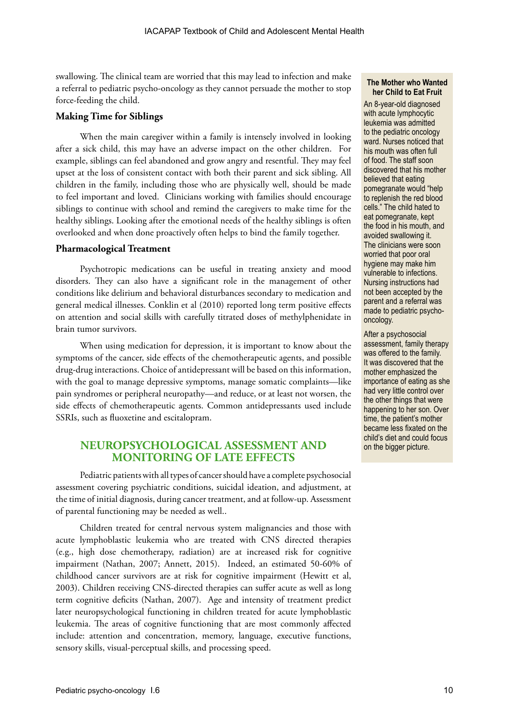swallowing. The clinical team are worried that this may lead to infection and make a referral to pediatric psycho-oncology as they cannot persuade the mother to stop force-feeding the child.

#### **Making Time for Siblings**

When the main caregiver within a family is intensely involved in looking after a sick child, this may have an adverse impact on the other children. For example, siblings can feel abandoned and grow angry and resentful. They may feel upset at the loss of consistent contact with both their parent and sick sibling. All children in the family, including those who are physically well, should be made to feel important and loved. Clinicians working with families should encourage siblings to continue with school and remind the caregivers to make time for the healthy siblings. Looking after the emotional needs of the healthy siblings is often overlooked and when done proactively often helps to bind the family together.

#### **Pharmacological Treatment**

Psychotropic medications can be useful in treating anxiety and mood disorders. They can also have a significant role in the management of other conditions like delirium and behavioral disturbances secondary to medication and general medical illnesses. Conklin et al (2010) reported long term positive effects on attention and social skills with carefully titrated doses of methylphenidate in brain tumor survivors.

When using medication for depression, it is important to know about the symptoms of the cancer, side effects of the chemotherapeutic agents, and possible drug-drug interactions. Choice of antidepressant will be based on this information, with the goal to manage depressive symptoms, manage somatic complaints—like pain syndromes or peripheral neuropathy—and reduce, or at least not worsen, the side effects of chemotherapeutic agents. Common antidepressants used include SSRIs, such as fluoxetine and escitalopram.

# **NEUROPSYCHOLOGICAL ASSESSMENT AND MONITORING OF LATE EFFECTS**

Pediatric patients with all types of cancer should have a complete psychosocial assessment covering psychiatric conditions, suicidal ideation, and adjustment, at the time of initial diagnosis, during cancer treatment, and at follow-up. Assessment of parental functioning may be needed as well..

Children treated for central nervous system malignancies and those with acute lymphoblastic leukemia who are treated with CNS directed therapies (e.g., high dose chemotherapy, radiation) are at increased risk for cognitive impairment (Nathan, 2007; Annett, 2015). Indeed, an estimated 50-60% of childhood cancer survivors are at risk for cognitive impairment (Hewitt et al, 2003). Children receiving CNS-directed therapies can suffer acute as well as long term cognitive deficits (Nathan, 2007). Age and intensity of treatment predict later neuropsychological functioning in children treated for acute lymphoblastic leukemia. The areas of cognitive functioning that are most commonly affected include: attention and concentration, memory, language, executive functions, sensory skills, visual-perceptual skills, and processing speed.

#### **The Mother who Wanted her Child to Eat Fruit**

An 8-year-old diagnosed with acute lymphocytic leukemia was admitted to the pediatric oncology ward. Nurses noticed that his mouth was often full of food. The staff soon discovered that his mother believed that eating pomegranate would "help to replenish the red blood cells." The child hated to eat pomegranate, kept the food in his mouth, and avoided swallowing it. The clinicians were soon worried that poor oral hygiene may make him vulnerable to infections. Nursing instructions had not been accepted by the parent and a referral was made to pediatric psychooncology.

After a psychosocial assessment, family therapy was offered to the family. It was discovered that the mother emphasized the importance of eating as she had very little control over the other things that were happening to her son. Over time, the patient's mother became less fixated on the child's diet and could focus on the bigger picture.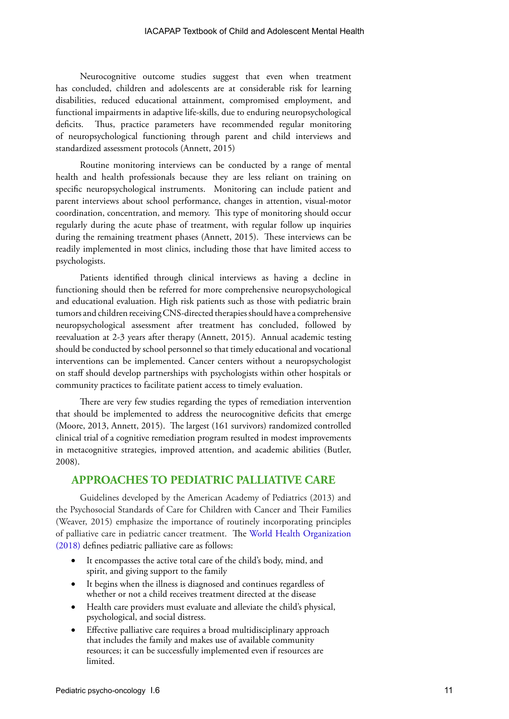#### IACAPAP Textbook of Child and Adolescent Mental Health

Neurocognitive outcome studies suggest that even when treatment has concluded, children and adolescents are at considerable risk for learning disabilities, reduced educational attainment, compromised employment, and functional impairments in adaptive life-skills, due to enduring neuropsychological deficits. Thus, practice parameters have recommended regular monitoring of neuropsychological functioning through parent and child interviews and standardized assessment protocols (Annett, 2015)

Routine monitoring interviews can be conducted by a range of mental health and health professionals because they are less reliant on training on specific neuropsychological instruments. Monitoring can include patient and parent interviews about school performance, changes in attention, visual-motor coordination, concentration, and memory. This type of monitoring should occur regularly during the acute phase of treatment, with regular follow up inquiries during the remaining treatment phases (Annett, 2015). These interviews can be readily implemented in most clinics, including those that have limited access to psychologists.

Patients identified through clinical interviews as having a decline in functioning should then be referred for more comprehensive neuropsychological and educational evaluation. High risk patients such as those with pediatric brain tumors and children receiving CNS-directed therapies should have a comprehensive neuropsychological assessment after treatment has concluded, followed by reevaluation at 2-3 years after therapy (Annett, 2015). Annual academic testing should be conducted by school personnel so that timely educational and vocational interventions can be implemented. Cancer centers without a neuropsychologist on staff should develop partnerships with psychologists within other hospitals or community practices to facilitate patient access to timely evaluation.

There are very few studies regarding the types of remediation intervention that should be implemented to address the neurocognitive deficits that emerge (Moore, 2013, Annett, 2015). The largest (161 survivors) randomized controlled clinical trial of a cognitive remediation program resulted in modest improvements in metacognitive strategies, improved attention, and academic abilities (Butler, 2008).

# **APPROACHES TO PEDIATRIC PALLIATIVE CARE**

Guidelines developed by the American Academy of Pediatrics (2013) and the Psychosocial Standards of Care for Children with Cancer and Their Families (Weaver, 2015) emphasize the importance of routinely incorporating principles of palliative care in pediatric cancer treatment. The [World Health Organization](https://www.who.int/cancer/palliative/definition/en/)  [\(2018\)](https://www.who.int/cancer/palliative/definition/en/) defines pediatric palliative care as follows:

- It encompasses the active total care of the child's body, mind, and spirit, and giving support to the family
- It begins when the illness is diagnosed and continues regardless of whether or not a child receives treatment directed at the disease
- Health care providers must evaluate and alleviate the child's physical, psychological, and social distress.
- Effective palliative care requires a broad multidisciplinary approach that includes the family and makes use of available community resources; it can be successfully implemented even if resources are limited.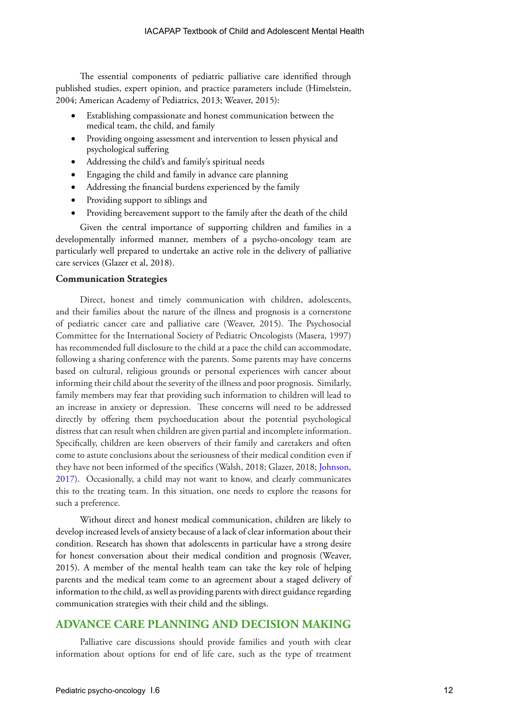The essential components of pediatric palliative care identified through published studies, expert opinion, and practice parameters include (Himelstein, 2004; American Academy of Pediatrics, 2013; Weaver, 2015):

- Establishing compassionate and honest communication between the medical team, the child, and family
- Providing ongoing assessment and intervention to lessen physical and psychological suffering
- Addressing the child's and family's spiritual needs
- Engaging the child and family in advance care planning
- Addressing the financial burdens experienced by the family
- Providing support to siblings and
- Providing bereavement support to the family after the death of the child

Given the central importance of supporting children and families in a developmentally informed manner, members of a psycho-oncology team are particularly well prepared to undertake an active role in the delivery of palliative care services (Glazer et al, 2018).

# **Communication Strategies**

Direct, honest and timely communication with children, adolescents, and their families about the nature of the illness and prognosis is a cornerstone of pediatric cancer care and palliative care (Weaver, 2015). The Psychosocial Committee for the International Society of Pediatric Oncologists (Masera, 1997) has recommended full disclosure to the child at a pace the child can accommodate, following a sharing conference with the parents. Some parents may have concerns based on cultural, religious grounds or personal experiences with cancer about informing their child about the severity of the illness and poor prognosis. Similarly, family members may fear that providing such information to children will lead to an increase in anxiety or depression. These concerns will need to be addressed directly by offering them psychoeducation about the potential psychological distress that can result when children are given partial and incomplete information. Specifically, children are keen observers of their family and caretakers and often come to astute conclusions about the seriousness of their medical condition even if they have not been informed of the specifics (Walsh, 2018; Glazer, 2018; [Johnson,](https://journals.plos.org/plosone/article?id=10.1371/journal.pone.0181024)  [2017](https://journals.plos.org/plosone/article?id=10.1371/journal.pone.0181024)). Occasionally, a child may not want to know, and clearly communicates this to the treating team. In this situation, one needs to explore the reasons for such a preference.

Without direct and honest medical communication, children are likely to develop increased levels of anxiety because of a lack of clear information about their condition. Research has shown that adolescents in particular have a strong desire for honest conversation about their medical condition and prognosis (Weaver, 2015). A member of the mental health team can take the key role of helping parents and the medical team come to an agreement about a staged delivery of information to the child, as well as providing parents with direct guidance regarding communication strategies with their child and the siblings.

# **ADVANCE CARE PLANNING AND DECISION MAKING**

Palliative care discussions should provide families and youth with clear information about options for end of life care, such as the type of treatment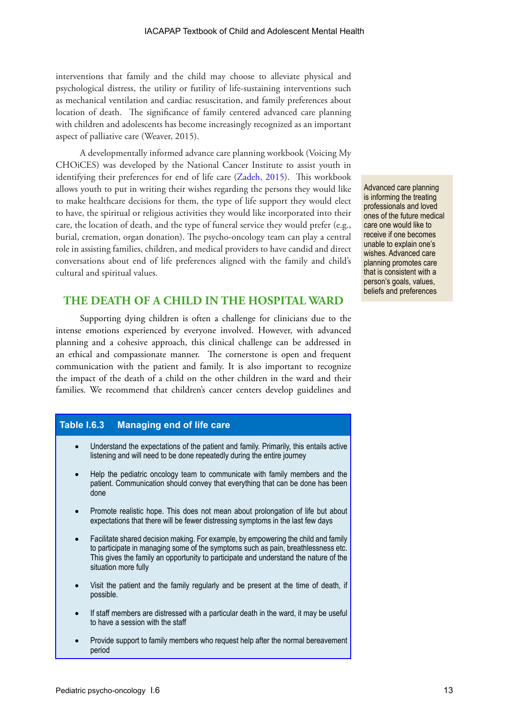interventions that family and the child may choose to alleviate physical and psychological distress, the utility or futility of life-sustaining interventions such as mechanical ventilation and cardiac resuscitation, and family preferences about location of death. The significance of family centered advanced care planning with children and adolescents has become increasingly recognized as an important aspect of palliative care (Weaver, 2015).

A developmentally informed advance care planning workbook (Voicing My CHOiCES) was developed by the National Cancer Institute to assist youth in identifying their preferences for end of life care [\(Zadeh, 2015\)](https://www.ncbi.nlm.nih.gov/pmc/articles/PMC5157833/). This workbook allows youth to put in writing their wishes regarding the persons they would like to make healthcare decisions for them, the type of life support they would elect to have, the spiritual or religious activities they would like incorporated into their care, the location of death, and the type of funeral service they would prefer (e.g., burial, cremation, organ donation). The psycho-oncology team can play a central role in assisting families, children, and medical providers to have candid and direct conversations about end of life preferences aligned with the family and child's cultural and spiritual values.

# **THE DEATH OF A CHILD IN THE HOSPITAL WARD**

Supporting dying children is often a challenge for clinicians due to the intense emotions experienced by everyone involved. However, with advanced planning and a cohesive approach, this clinical challenge can be addressed in an ethical and compassionate manner. The cornerstone is open and frequent communication with the patient and family. It is also important to recognize the impact of the death of a child on the other children in the ward and their families. We recommend that children's cancer centers develop guidelines and

# **Table I.6.3 Managing end of life care**

- Understand the expectations of the patient and family. Primarily, this entails active listening and will need to be done repeatedly during the entire journey
- Help the pediatric oncology team to communicate with family members and the patient. Communication should convey that everything that can be done has been done
- Promote realistic hope. This does not mean about prolongation of life but about expectations that there will be fewer distressing symptoms in the last few days
- Facilitate shared decision making. For example, by empowering the child and family to participate in managing some of the symptoms such as pain, breathlessness etc. This gives the family an opportunity to participate and understand the nature of the situation more fully
- Visit the patient and the family regularly and be present at the time of death, if possible.
- If staff members are distressed with a particular death in the ward, it may be useful to have a session with the staff
- Provide support to family members who request help after the normal bereavement period

Advanced care planning is informing the treating professionals and loved ones of the future medical care one would like to receive if one becomes unable to explain one's wishes. Advanced care planning promotes care that is consistent with a person's goals, values, beliefs and preferences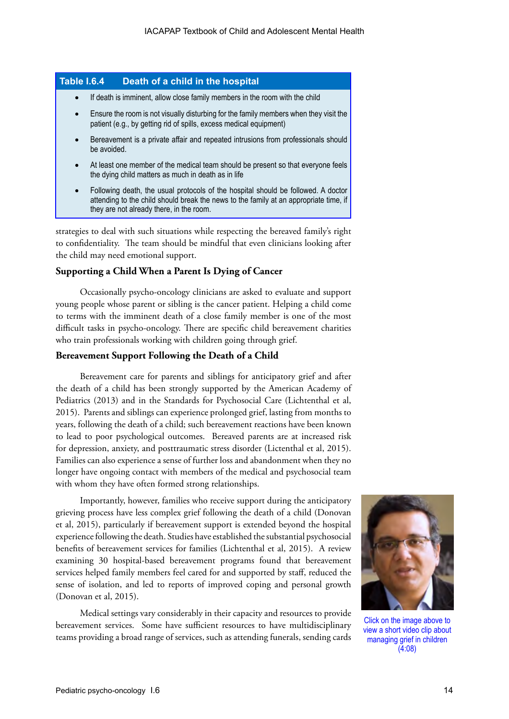# **Table I.6.4 Death of a child in the hospital**

- If death is imminent, allow close family members in the room with the child
- Ensure the room is not visually disturbing for the family members when they visit the patient (e.g., by getting rid of spills, excess medical equipment)
- Bereavement is a private affair and repeated intrusions from professionals should be avoided.
- At least one member of the medical team should be present so that everyone feels the dying child matters as much in death as in life
- Following death, the usual protocols of the hospital should be followed. A doctor attending to the child should break the news to the family at an appropriate time, if they are not already there, in the room.

strategies to deal with such situations while respecting the bereaved family's right to confidentiality. The team should be mindful that even clinicians looking after the child may need emotional support.

# **Supporting a Child When a Parent Is Dying of Cancer**

Occasionally psycho-oncology clinicians are asked to evaluate and support young people whose parent or sibling is the cancer patient. Helping a child come to terms with the imminent death of a close family member is one of the most difficult tasks in psycho-oncology. There are specific child bereavement charities who train professionals working with children going through grief.

# **Bereavement Support Following the Death of a Child**

Bereavement care for parents and siblings for anticipatory grief and after the death of a child has been strongly supported by the American Academy of Pediatrics (2013) and in the Standards for Psychosocial Care (Lichtenthal et al, 2015). Parents and siblings can experience prolonged grief, lasting from months to years, following the death of a child; such bereavement reactions have been known to lead to poor psychological outcomes. Bereaved parents are at increased risk for depression, anxiety, and posttraumatic stress disorder (Lictenthal et al, 2015). Families can also experience a sense of further loss and abandonment when they no longer have ongoing contact with members of the medical and psychosocial team with whom they have often formed strong relationships.

Importantly, however, families who receive support during the anticipatory grieving process have less complex grief following the death of a child (Donovan et al, 2015), particularly if bereavement support is extended beyond the hospital experience following the death. Studies have established the substantial psychosocial benefits of bereavement services for families (Lichtenthal et al, 2015). A review examining 30 hospital-based bereavement programs found that bereavement services helped family members feel cared for and supported by staff, reduced the sense of isolation, and led to reports of improved coping and personal growth (Donovan et al, 2015).

Medical settings vary considerably in their capacity and resources to provide bereavement services. Some have sufficient resources to have multidisciplinary teams providing a broad range of services, such as attending funerals, sending cards



Click on the image above to view a short video clip about managing grief in children (4:08)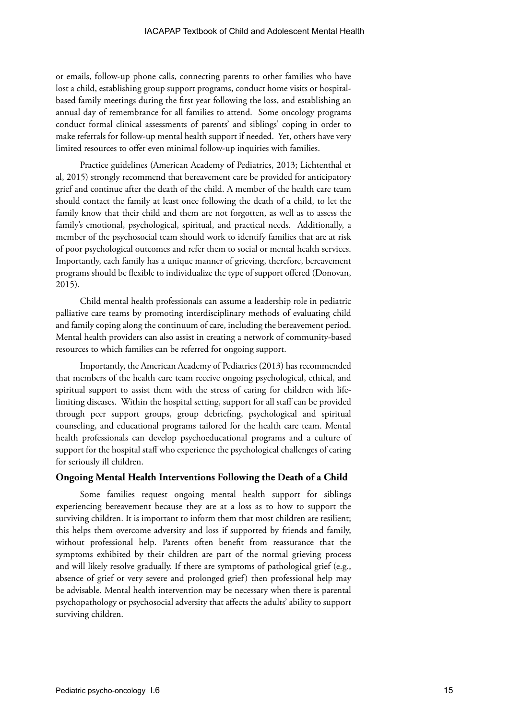or emails, follow-up phone calls, connecting parents to other families who have lost a child, establishing group support programs, conduct home visits or hospitalbased family meetings during the first year following the loss, and establishing an annual day of remembrance for all families to attend. Some oncology programs conduct formal clinical assessments of parents' and siblings' coping in order to make referrals for follow-up mental health support if needed. Yet, others have very limited resources to offer even minimal follow-up inquiries with families.

Practice guidelines (American Academy of Pediatrics, 2013; Lichtenthal et al, 2015) strongly recommend that bereavement care be provided for anticipatory grief and continue after the death of the child. A member of the health care team should contact the family at least once following the death of a child, to let the family know that their child and them are not forgotten, as well as to assess the family's emotional, psychological, spiritual, and practical needs. Additionally, a member of the psychosocial team should work to identify families that are at risk of poor psychological outcomes and refer them to social or mental health services. Importantly, each family has a unique manner of grieving, therefore, bereavement programs should be flexible to individualize the type of support offered (Donovan, 2015).

Child mental health professionals can assume a leadership role in pediatric palliative care teams by promoting interdisciplinary methods of evaluating child and family coping along the continuum of care, including the bereavement period. Mental health providers can also assist in creating a network of community-based resources to which families can be referred for ongoing support.

Importantly, the American Academy of Pediatrics (2013) has recommended that members of the health care team receive ongoing psychological, ethical, and spiritual support to assist them with the stress of caring for children with lifelimiting diseases. Within the hospital setting, support for all staff can be provided through peer support groups, group debriefing, psychological and spiritual counseling, and educational programs tailored for the health care team. Mental health professionals can develop psychoeducational programs and a culture of support for the hospital staff who experience the psychological challenges of caring for seriously ill children.

#### **Ongoing Mental Health Interventions Following the Death of a Child**

Some families request ongoing mental health support for siblings experiencing bereavement because they are at a loss as to how to support the surviving children. It is important to inform them that most children are resilient; this helps them overcome adversity and loss if supported by friends and family, without professional help. Parents often benefit from reassurance that the symptoms exhibited by their children are part of the normal grieving process and will likely resolve gradually. If there are symptoms of pathological grief (e.g., absence of grief or very severe and prolonged grief) then professional help may be advisable. Mental health intervention may be necessary when there is parental psychopathology or psychosocial adversity that affects the adults' ability to support surviving children.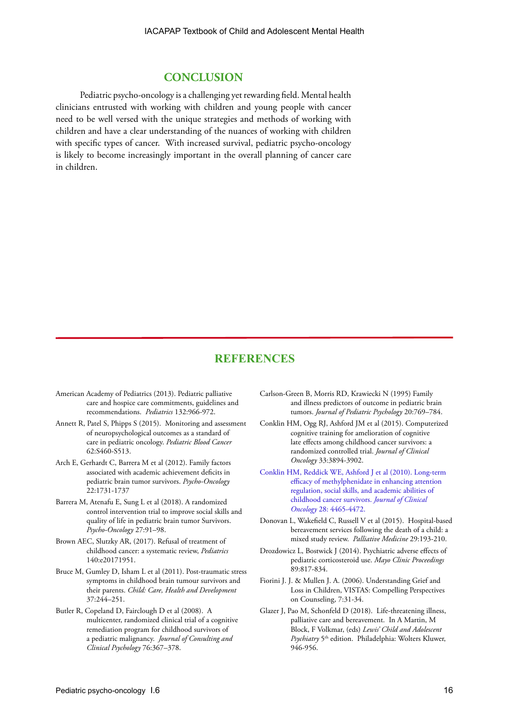# **CONCLUSION**

Pediatric psycho-oncology is a challenging yet rewarding field. Mental health clinicians entrusted with working with children and young people with cancer need to be well versed with the unique strategies and methods of working with children and have a clear understanding of the nuances of working with children with specific types of cancer. With increased survival, pediatric psycho-oncology is likely to become increasingly important in the overall planning of cancer care in children.

# **REFERENCES**

- American Academy of Pediatrics (2013). Pediatric palliative care and hospice care commitments, guidelines and recommendations. *Pediatrics* 132:966-972.
- Annett R, Patel S, Phipps S (2015). Monitoring and assessment of neuropsychological outcomes as a standard of care in pediatric oncology. *Pediatric Blood Cancer* 62:S460-S513.
- Arch E, Gerhardt C, Barrera M et al (2012). Family factors associated with academic achievement deficits in pediatric brain tumor survivors. *Psycho-Oncology*  22:1731-1737
- Barrera M, Atenafu E, Sung L et al (2018). A randomized control intervention trial to improve social skills and quality of life in pediatric brain tumor Survivors. *Psycho‐Oncology* 27:91–98.
- Brown AEC, Slutzky AR, (2017). Refusal of treatment of childhood cancer: a systematic review, *Pediatrics* 140:e20171951.
- Bruce M, Gumley D, Isham L et al (2011). Post-traumatic stress symptoms in childhood brain tumour survivors and their parents. *Child: Care, Health and Development* 37:244–251.
- Butler R, Copeland D, Fairclough D et al (2008). A multicenter, randomized clinical trial of a cognitive remediation program for childhood survivors of a pediatric malignancy. *Journal of Consulting and Clinical Psychology* 76:367–378.
- Carlson-Green B, Morris RD, Krawiecki N (1995) Family and illness predictors of outcome in pediatric brain tumors. *Journal of Pediatric Psychology* 20:769–784.
- Conklin HM, Ogg RJ, Ashford JM et al (2015). Computerized cognitive training for amelioration of cognitive late effects among childhood cancer survivors: a randomized controlled trial. *Journal of Clinical Oncology* 33:3894-3902.
- [Conklin HM, Reddick WE, Ashford J et al \(2010\). Long-term](https://www.ncbi.nlm.nih.gov/pmc/articles/PMC2988638/)  [efficacy of methylphenidate in enhancing attention](https://www.ncbi.nlm.nih.gov/pmc/articles/PMC2988638/)  [regulation, social skills, and academic abilities of](https://www.ncbi.nlm.nih.gov/pmc/articles/PMC2988638/)  [childhood cancer survivors.](https://www.ncbi.nlm.nih.gov/pmc/articles/PMC2988638/) *Journal of Clinical Oncology* [28: 4465-4472.](https://www.ncbi.nlm.nih.gov/pmc/articles/PMC2988638/)
- Donovan L, Wakefield C, Russell V et al (2015). Hospital-based bereavement services following the death of a child: a mixed study review. *Palliative Medicine* 29:193-210.
- Drozdowicz L, Bostwick J (2014). Psychiatric adverse effects of pediatric corticosteroid use. *Mayo Clinic Proceedings* 89:817-834.
- Fiorini J. J. & Mullen J. A. (2006). Understanding Grief and Loss in Children, VISTAS: Compelling Perspectives on Counseling, 7:31-34.
- Glazer J, Pao M, Schonfeld D (2018). Life-threatening illness, palliative care and bereavement. In A Martin, M Block, F Volkmar, (eds) *Lewis' Child and Adolescent Psychiatry* 5th edition. Philadelphia: Wolters Kluwer, 946-956.